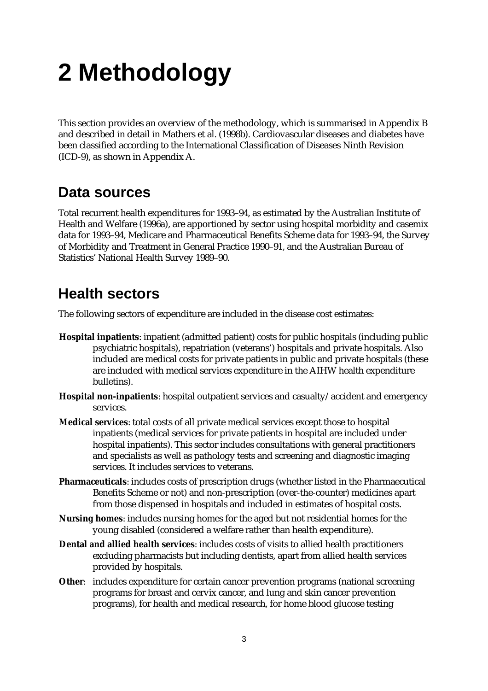# **2 Methodology**

This section provides an overview of the methodology, which is summarised in Appendix B and described in detail in Mathers et al. (1998b). Cardiovascular diseases and diabetes have been classified according to the International Classification of Diseases Ninth Revision (ICD-9), as shown in Appendix A.

#### **Data sources**

Total recurrent health expenditures for 1993–94, as estimated by the Australian Institute of Health and Welfare (1996a), are apportioned by sector using hospital morbidity and casemix data for 1993–94, Medicare and Pharmaceutical Benefits Scheme data for 1993–94, the Survey of Morbidity and Treatment in General Practice 1990–91, and the Australian Bureau of Statistics' National Health Survey 1989–90.

### **Health sectors**

The following sectors of expenditure are included in the disease cost estimates:

- **Hospital inpatients**: inpatient (admitted patient) costs for public hospitals (including public psychiatric hospitals), repatriation (veterans') hospitals and private hospitals. Also included are medical costs for private patients in public and private hospitals (these are included with medical services expenditure in the AIHW health expenditure bulletins).
- **Hospital non-inpatients**: hospital outpatient services and casualty/accident and emergency services.
- **Medical services**: total costs of all private medical services except those to hospital inpatients (medical services for private patients in hospital are included under hospital inpatients). This sector includes consultations with general practitioners and specialists as well as pathology tests and screening and diagnostic imaging services. It includes services to veterans.
- **Pharmaceuticals**: includes costs of prescription drugs (whether listed in the Pharmaecutical Benefits Scheme or not) and non-prescription (over-the-counter) medicines apart from those dispensed in hospitals and included in estimates of hospital costs.
- **Nursing homes**: includes nursing homes for the aged but not residential homes for the young disabled (considered a welfare rather than health expenditure).
- **Dental and allied health services**: includes costs of visits to allied health practitioners excluding pharmacists but including dentists, apart from allied health services provided by hospitals.
- **Other**: includes expenditure for certain cancer prevention programs (national screening programs for breast and cervix cancer, and lung and skin cancer prevention programs), for health and medical research, for home blood glucose testing